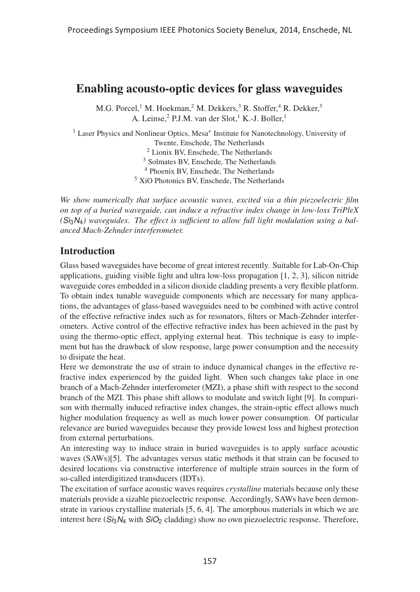# Enabling acousto-optic devices for glass waveguides

M.G. Porcel,<sup>1</sup> M. Hoekman,<sup>2</sup> M. Dekkers,<sup>3</sup> R. Stoffer,<sup>4</sup> R. Dekker,<sup>5</sup> A. Leinse,<sup>2</sup> P.J.M. van der Slot,<sup>1</sup> K.-J. Boller,<sup>1</sup>

<sup>1</sup> Laser Physics and Nonlinear Optics, Mesa<sup>+</sup> Institute for Nanotechnology, University of Twente, Enschede, The Netherlands Lionix BV, Enschede, The Netherlands Solmates BV, Enschede, The Netherlands Phoenix BV, Enschede, The Netherlands XiO Photonics BV, Enschede, The Netherlands

*We show numerically that surface acoustic waves, excited via a thin piezoelectric film on top of a buried waveguide, can induce a refractive index change in low-loss TriPleX (*Si3N4*) waveguides. The effect is sufficient to allow full light modulation using a balanced Mach-Zehnder interferometer.*

# Introduction

Glass based waveguides have become of great interest recently. Suitable for Lab-On-Chip applications, guiding visible light and ultra low-loss propagation [1, 2, 3], silicon nitride waveguide cores embedded in a silicon dioxide cladding presents a very flexible platform. To obtain index tunable waveguide components which are necessary for many applications, the advantages of glass-based waveguides need to be combined with active control of the effective refractive index such as for resonators, filters or Mach-Zehnder interferometers. Active control of the effective refractive index has been achieved in the past by using the thermo-optic effect, applying external heat. This technique is easy to implement but has the drawback of slow response, large power consumption and the necessity to disipate the heat.

Here we demonstrate the use of strain to induce dynamical changes in the effective refractive index experienced by the guided light. When such changes take place in one branch of a Mach-Zehnder interferometer (MZI), a phase shift with respect to the second branch of the MZI. This phase shift allows to modulate and switch light [9]. In comparison with thermally induced refractive index changes, the strain-optic effect allows much higher modulation frequency as well as much lower power consumption. Of particular relevance are buried waveguides because they provide lowest loss and highest protection from external perturbations.

An interesting way to induce strain in buried waveguides is to apply surface acoustic waves (SAWs)[5]. The advantages versus static methods it that strain can be focused to desired locations via constructive interference of multiple strain sources in the form of so-called interdigitized transducers (IDTs).

The excitation of surface acoustic waves requires *crystalline* materials because only these materials provide a sizable piezoelectric response. Accordingly, SAWs have been demonstrate in various crystalline materials [5, 6, 4]. The amorphous materials in which we are interest here  $(S_i_3N_4$  with  $SiO_2$  cladding) show no own piezoelectric response. Therefore,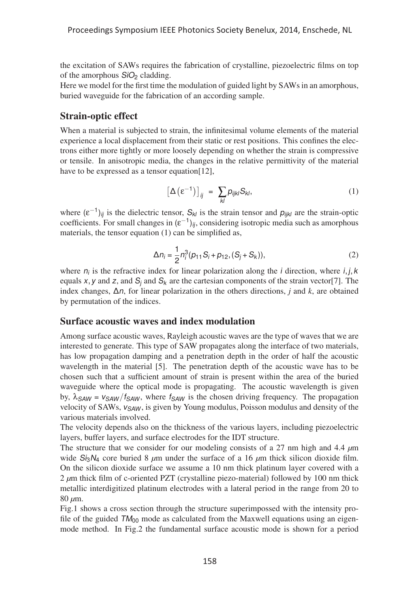the excitation of SAWs requires the fabrication of crystalline, piezoelectric films on top of the amorphous  $SiO<sub>2</sub>$  cladding.

Here we model for the first time the modulation of guided light by SAWs in an amorphous, buried waveguide for the fabrication of an according sample.

# Strain-optic effect

When a material is subjected to strain, the infinitesimal volume elements of the material experience a local displacement from their static or rest positions. This confines the electrons either more tightly or more loosely depending on whether the strain is compressive or tensile. In anisotropic media, the changes in the relative permittivity of the material have to be expressed as a tensor equation[12],

$$
\left[\Delta\left(\varepsilon^{-1}\right)\right]_{ij} = \sum_{kl} p_{ijkl} S_{kl},\tag{1}
$$

where  $(\varepsilon^{-1})_{ii}$  is the dielectric tensor,  $S_{kl}$  is the strain tensor and  $p_{ijkl}$  are the strain-optic coefficients. For small changes in  $(\epsilon^{-1})_{ii}$ , considering isotropic media such as amorphous materials, the tensor equation (1) can be simplified as,

$$
\Delta n_i = \frac{1}{2} n_i^3 (p_{11} S_i + p_{12}, (S_j + S_k)),
$$
\n(2)

where  $n_i$  is the refractive index for linear polarization along the *i* direction, where *i*, *j*, *k* equals x, y and z, and  $S_i$  and  $S_k$  are the cartesian components of the strain vector [7]. The index changes, Δn, for linear polarization in the others directions, *j* and *k*, are obtained by permutation of the indices.

#### Surface acoustic waves and index modulation

Among surface acoustic waves, Rayleigh acoustic waves are the type of waves that we are interested to generate. This type of SAW propagates along the interface of two materials, has low propagation damping and a penetration depth in the order of half the acoustic wavelength in the material [5]. The penetration depth of the acoustic wave has to be chosen such that a sufficient amount of strain is present within the area of the buried waveguide where the optical mode is propagating. The acoustic wavelength is given by,  $\lambda_{SAW} = v_{SAW}/f_{SAW}$ , where  $f_{SAW}$  is the chosen driving frequency. The propagation velocity of SAWs,  $v_{SAW}$ , is given by Young modulus, Poisson modulus and density of the various materials involved.

The velocity depends also on the thickness of the various layers, including piezoelectric layers, buffer layers, and surface electrodes for the IDT structure.

The structure that we consider for our modeling consists of a 27 nm high and 4.4 *μ*m wide Si3N<sup>4</sup> core buried 8 *μ*m under the surface of a 16 *μ*m thick silicon dioxide film. On the silicon dioxide surface we assume a 10 nm thick platinum layer covered with a 2 *μ*m thick film of c-oriented PZT (crystalline piezo-material) followed by 100 nm thick metallic interdigitized platinum electrodes with a lateral period in the range from 20 to 80 *μ*m.

Fig.1 shows a cross section through the structure superimpossed with the intensity profile of the guided  $TM_{00}$  mode as calculated from the Maxwell equations using an eigenmode method. In Fig.2 the fundamental surface acoustic mode is shown for a period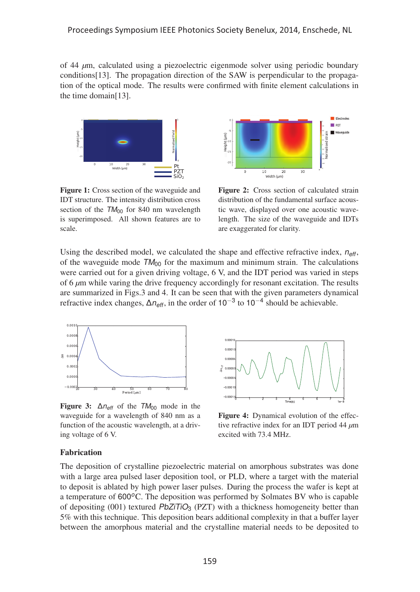of 44 *μ*m, calculated using a piezoelectric eigenmode solver using periodic boundary conditions[13]. The propagation direction of the SAW is perpendicular to the propagation of the optical mode. The results were confirmed with finite element calculations in the time domain[13].



Figure 1: Cross section of the waveguide and IDT structure. The intensity distribution cross section of the  $TM_{00}$  for 840 nm wavelength is superimposed. All shown features are to scale.



Figure 2: Cross section of calculated strain distribution of the fundamental surface acoustic wave, displayed over one acoustic wavelength. The size of the waveguide and IDTs are exaggerated for clarity.

Using the described model, we calculated the shape and effective refractive index,  $n_{\text{eff}}$ , of the waveguide mode  $TM_{00}$  for the maximum and minimum strain. The calculations were carried out for a given driving voltage, 6 V, and the IDT period was varied in steps of 6 *μ*m while varing the drive frequency accordingly for resonant excitation. The results are summarized in Figs.3 and 4. It can be seen that with the given parameters dynamical refractive index changes,  $\Delta n_{\text{eff}}$ , in the order of 10<sup>-3</sup> to 10<sup>-4</sup> should be achievable.



Figure 3:  $\Delta n_{\text{eff}}$  of the  $TM_{00}$  mode in the waveguide for a wavelength of 840 nm as a function of the acoustic wavelength, at a driving voltage of 6 V.



Figure 4: Dynamical evolution of the effective refractive index for an IDT period 44 *μ*m excited with 73.4 MHz.

#### Fabrication

The deposition of crystalline piezoelectric material on amorphous substrates was done with a large area pulsed laser deposition tool, or PLD, where a target with the material to deposit is ablated by high power laser pulses. During the process the wafer is kept at a temperature of  $600^{\circ}$ C. The deposition was performed by Solmates BV who is capable of depositing  $(001)$  textured PbZiTiO<sub>3</sub> (PZT) with a thickness homogeneity better than 5% with this technique. This deposition bears additional complexity in that a buffer layer between the amorphous material and the crystalline material needs to be deposited to